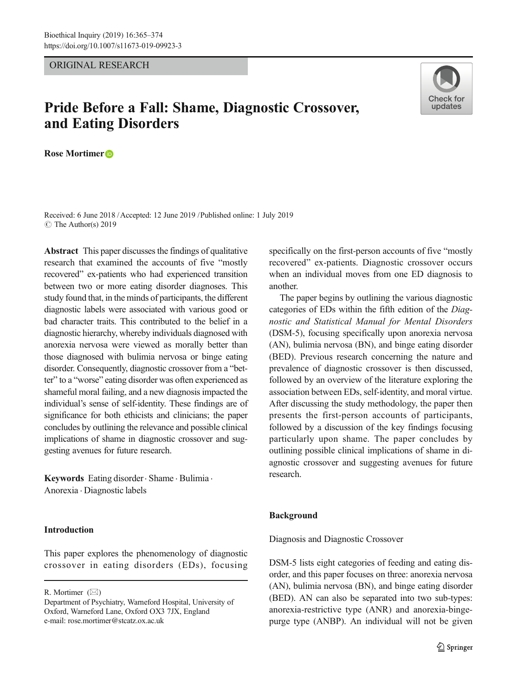# ORIGINAL RESEARCH

# Pride Before a Fall: Shame, Diagnostic Crossover, and Eating Disorders

Rose Mortimer<sup>®</sup>

Received: 6 June 2018 /Accepted: 12 June 2019 /Published online: 1 July 2019 $\circ$  The Author(s) 2019

Abstract This paper discusses the findings of qualitative research that examined the accounts of five "mostly recovered" ex-patients who had experienced transition between two or more eating disorder diagnoses. This study found that, in the minds of participants, the different diagnostic labels were associated with various good or bad character traits. This contributed to the belief in a diagnostic hierarchy, whereby individuals diagnosed with anorexia nervosa were viewed as morally better than those diagnosed with bulimia nervosa or binge eating disorder. Consequently, diagnostic crossover from a "better" to a "worse" eating disorder was often experienced as shameful moral failing, and a new diagnosis impacted the individual's sense of self-identity. These findings are of significance for both ethicists and clinicians; the paper concludes by outlining the relevance and possible clinical implications of shame in diagnostic crossover and suggesting avenues for future research.

Keywords Eating disorder · Shame · Bulimia · Anorexia . Diagnostic labels

# Introduction

This paper explores the phenomenology of diagnostic crossover in eating disorders (EDs), focusing

R. Mortimer  $(\boxtimes)$ 



The paper begins by outlining the various diagnostic categories of EDs within the fifth edition of the Diagnostic and Statistical Manual for Mental Disorders (DSM-5), focusing specifically upon anorexia nervosa (AN), bulimia nervosa (BN), and binge eating disorder (BED). Previous research concerning the nature and prevalence of diagnostic crossover is then discussed, followed by an overview of the literature exploring the association between EDs, self-identity, and moral virtue. After discussing the study methodology, the paper then presents the first-person accounts of participants, followed by a discussion of the key findings focusing particularly upon shame. The paper concludes by outlining possible clinical implications of shame in diagnostic crossover and suggesting avenues for future research.

## Background

Diagnosis and Diagnostic Crossover

DSM-5 lists eight categories of feeding and eating disorder, and this paper focuses on three: anorexia nervosa (AN), bulimia nervosa (BN), and binge eating disorder (BED). AN can also be separated into two sub-types: anorexia-restrictive type (ANR) and anorexia-bingepurge type (ANBP). An individual will not be given



Department of Psychiatry, Warneford Hospital, University of Oxford, Warneford Lane, Oxford OX3 7JX, England e-mail: rose.mortimer@stcatz.ox.ac.uk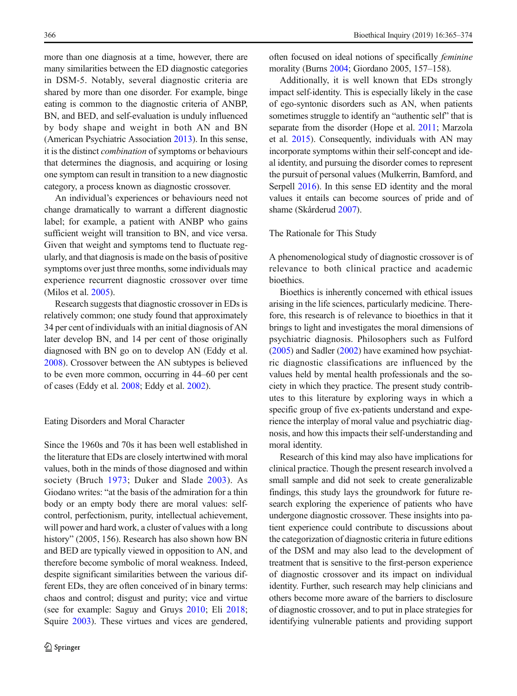more than one diagnosis at a time, however, there are many similarities between the ED diagnostic categories in DSM-5. Notably, several diagnostic criteria are shared by more than one disorder. For example, binge eating is common to the diagnostic criteria of ANBP, BN, and BED, and self-evaluation is unduly influenced by body shape and weight in both AN and BN (American Psychiatric Association [2013\)](#page-8-0). In this sense, it is the distinct combination of symptoms or behaviours that determines the diagnosis, and acquiring or losing one symptom can result in transition to a new diagnostic category, a process known as diagnostic crossover.

An individual's experiences or behaviours need not change dramatically to warrant a different diagnostic label; for example, a patient with ANBP who gains sufficient weight will transition to BN, and vice versa. Given that weight and symptoms tend to fluctuate regularly, and that diagnosis is made on the basis of positive symptoms over just three months, some individuals may experience recurrent diagnostic crossover over time (Milos et al. [2005](#page-9-0)).

Research suggests that diagnostic crossover in EDs is relatively common; one study found that approximately 34 per cent of individuals with an initial diagnosis of AN later develop BN, and 14 per cent of those originally diagnosed with BN go on to develop AN (Eddy et al. [2008](#page-8-0)). Crossover between the AN subtypes is believed to be even more common, occurring in 44–60 per cent of cases (Eddy et al. [2008;](#page-8-0) Eddy et al. [2002\)](#page-8-0).

#### Eating Disorders and Moral Character

Since the 1960s and 70s it has been well established in the literature that EDs are closely intertwined with moral values, both in the minds of those diagnosed and within society (Bruch [1973;](#page-8-0) Duker and Slade [2003](#page-8-0)). As Giodano writes: "at the basis of the admiration for a thin body or an empty body there are moral values: selfcontrol, perfectionism, purity, intellectual achievement, will power and hard work, a cluster of values with a long history" (2005, 156). Research has also shown how BN and BED are typically viewed in opposition to AN, and therefore become symbolic of moral weakness. Indeed, despite significant similarities between the various different EDs, they are often conceived of in binary terms: chaos and control; disgust and purity; vice and virtue (see for example: Saguy and Gruys [2010](#page-9-0); Eli [2018](#page-8-0); Squire [2003](#page-9-0)). These virtues and vices are gendered, often focused on ideal notions of specifically feminine morality (Burns [2004;](#page-8-0) Giordano 2005, 157–158).

Additionally, it is well known that EDs strongly impact self-identity. This is especially likely in the case of ego-syntonic disorders such as AN, when patients sometimes struggle to identify an "authentic self" that is separate from the disorder (Hope et al. [2011;](#page-8-0) Marzola et al. [2015\)](#page-9-0). Consequently, individuals with AN may incorporate symptoms within their self-concept and ideal identity, and pursuing the disorder comes to represent the pursuit of personal values (Mulkerrin, Bamford, and Serpell [2016\)](#page-9-0). In this sense ED identity and the moral values it entails can become sources of pride and of shame (Skårderud [2007](#page-9-0)).

#### The Rationale for This Study

A phenomenological study of diagnostic crossover is of relevance to both clinical practice and academic bioethics.

Bioethics is inherently concerned with ethical issues arising in the life sciences, particularly medicine. Therefore, this research is of relevance to bioethics in that it brings to light and investigates the moral dimensions of psychiatric diagnosis. Philosophers such as Fulford [\(2005\)](#page-8-0) and Sadler ([2002](#page-9-0)) have examined how psychiatric diagnostic classifications are influenced by the values held by mental health professionals and the society in which they practice. The present study contributes to this literature by exploring ways in which a specific group of five ex-patients understand and experience the interplay of moral value and psychiatric diagnosis, and how this impacts their self-understanding and moral identity.

Research of this kind may also have implications for clinical practice. Though the present research involved a small sample and did not seek to create generalizable findings, this study lays the groundwork for future research exploring the experience of patients who have undergone diagnostic crossover. These insights into patient experience could contribute to discussions about the categorization of diagnostic criteria in future editions of the DSM and may also lead to the development of treatment that is sensitive to the first-person experience of diagnostic crossover and its impact on individual identity. Further, such research may help clinicians and others become more aware of the barriers to disclosure of diagnostic crossover, and to put in place strategies for identifying vulnerable patients and providing support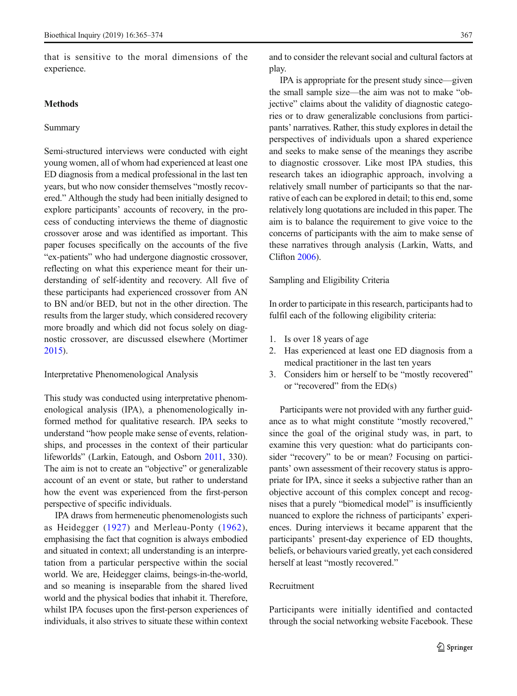that is sensitive to the moral dimensions of the experience.

#### Methods

#### Summary

Semi-structured interviews were conducted with eight young women, all of whom had experienced at least one ED diagnosis from a medical professional in the last ten years, but who now consider themselves "mostly recovered." Although the study had been initially designed to explore participants' accounts of recovery, in the process of conducting interviews the theme of diagnostic crossover arose and was identified as important. This paper focuses specifically on the accounts of the five "ex-patients" who had undergone diagnostic crossover, reflecting on what this experience meant for their understanding of self-identity and recovery. All five of these participants had experienced crossover from AN to BN and/or BED, but not in the other direction. The results from the larger study, which considered recovery more broadly and which did not focus solely on diagnostic crossover, are discussed elsewhere (Mortimer [2015](#page-9-0)).

Interpretative Phenomenological Analysis

This study was conducted using interpretative phenomenological analysis (IPA), a phenomenologically informed method for qualitative research. IPA seeks to understand "how people make sense of events, relationships, and processes in the context of their particular lifeworlds" (Larkin, Eatough, and Osborn [2011,](#page-9-0) 330). The aim is not to create an "objective" or generalizable account of an event or state, but rather to understand how the event was experienced from the first-person perspective of specific individuals.

IPA draws from hermeneutic phenomenologists such as Heidegger ([1927](#page-8-0)) and Merleau-Ponty ([1962](#page-9-0)), emphasising the fact that cognition is always embodied and situated in context; all understanding is an interpretation from a particular perspective within the social world. We are, Heidegger claims, beings-in-the-world, and so meaning is inseparable from the shared lived world and the physical bodies that inhabit it. Therefore, whilst IPA focuses upon the first-person experiences of individuals, it also strives to situate these within context

and to consider the relevant social and cultural factors at play.

IPA is appropriate for the present study since—given the small sample size—the aim was not to make "objective" claims about the validity of diagnostic categories or to draw generalizable conclusions from participants' narratives. Rather, this study explores in detail the perspectives of individuals upon a shared experience and seeks to make sense of the meanings they ascribe to diagnostic crossover. Like most IPA studies, this research takes an idiographic approach, involving a relatively small number of participants so that the narrative of each can be explored in detail; to this end, some relatively long quotations are included in this paper. The aim is to balance the requirement to give voice to the concerns of participants with the aim to make sense of these narratives through analysis (Larkin, Watts, and Clifton [2006](#page-9-0)).

Sampling and Eligibility Criteria

In order to participate in this research, participants had to fulfil each of the following eligibility criteria:

- 1. Is over 18 years of age
- 2. Has experienced at least one ED diagnosis from a medical practitioner in the last ten years
- 3. Considers him or herself to be "mostly recovered" or "recovered" from the ED(s)

Participants were not provided with any further guidance as to what might constitute "mostly recovered," since the goal of the original study was, in part, to examine this very question: what do participants consider "recovery" to be or mean? Focusing on participants' own assessment of their recovery status is appropriate for IPA, since it seeks a subjective rather than an objective account of this complex concept and recognises that a purely "biomedical model" is insufficiently nuanced to explore the richness of participants' experiences. During interviews it became apparent that the participants' present-day experience of ED thoughts, beliefs, or behaviours varied greatly, yet each considered herself at least "mostly recovered."

## Recruitment

Participants were initially identified and contacted through the social networking website Facebook. These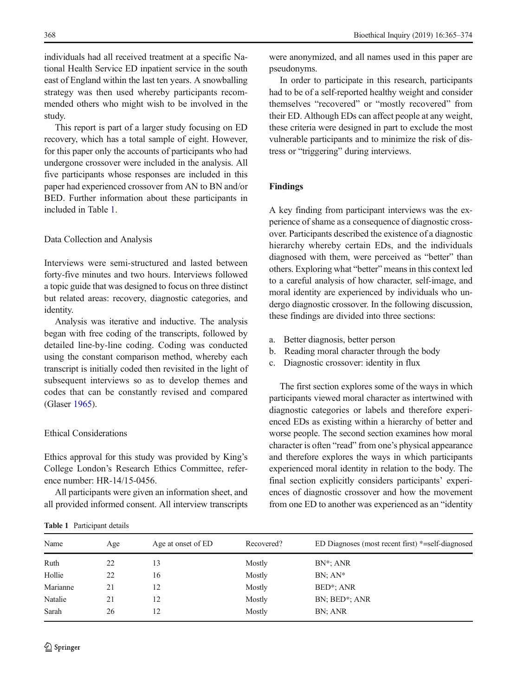individuals had all received treatment at a specific National Health Service ED inpatient service in the south east of England within the last ten years. A snowballing strategy was then used whereby participants recommended others who might wish to be involved in the study.

This report is part of a larger study focusing on ED recovery, which has a total sample of eight. However, for this paper only the accounts of participants who had undergone crossover were included in the analysis. All five participants whose responses are included in this paper had experienced crossover from AN to BN and/or BED. Further information about these participants in included in Table 1.

# Data Collection and Analysis

Interviews were semi-structured and lasted between forty-five minutes and two hours. Interviews followed a topic guide that was designed to focus on three distinct but related areas: recovery, diagnostic categories, and identity.

Analysis was iterative and inductive. The analysis began with free coding of the transcripts, followed by detailed line-by-line coding. Coding was conducted using the constant comparison method, whereby each transcript is initially coded then revisited in the light of subsequent interviews so as to develop themes and codes that can be constantly revised and compared (Glaser [1965](#page-8-0)).

## Ethical Considerations

Ethics approval for this study was provided by King's College London's Research Ethics Committee, reference number: HR-14/15-0456.

All participants were given an information sheet, and all provided informed consent. All interview transcripts

were anonymized, and all names used in this paper are pseudonyms.

In order to participate in this research, participants had to be of a self-reported healthy weight and consider themselves "recovered" or "mostly recovered" from their ED. Although EDs can affect people at any weight, these criteria were designed in part to exclude the most vulnerable participants and to minimize the risk of distress or "triggering" during interviews.

#### Findings

A key finding from participant interviews was the experience of shame as a consequence of diagnostic crossover. Participants described the existence of a diagnostic hierarchy whereby certain EDs, and the individuals diagnosed with them, were perceived as "better" than others. Exploring what "better" means in this context led to a careful analysis of how character, self-image, and moral identity are experienced by individuals who undergo diagnostic crossover. In the following discussion, these findings are divided into three sections:

- a. Better diagnosis, better person
- b. Reading moral character through the body
- c. Diagnostic crossover: identity in flux

The first section explores some of the ways in which participants viewed moral character as intertwined with diagnostic categories or labels and therefore experienced EDs as existing within a hierarchy of better and worse people. The second section examines how moral character is often "read" from one's physical appearance and therefore explores the ways in which participants experienced moral identity in relation to the body. The final section explicitly considers participants' experiences of diagnostic crossover and how the movement from one ED to another was experienced as an "identity

| Name     | Age | Age at onset of ED | Recovered? | ED Diagnoses (most recent first) *=self-diagnosed |
|----------|-----|--------------------|------------|---------------------------------------------------|
| Ruth     | 22  | 13                 | Mostly     | $BN^*$ ; ANR                                      |
| Hollie   | 22  | 16                 | Mostly     | $BN:AN^*$                                         |
| Marianne | 21  | 12                 | Mostly     | BED <sup>*</sup> ; ANR                            |
| Natalie  | 21  | 12                 | Mostly     | BN; BED*; ANR                                     |
| Sarah    | 26  | 12                 | Mostly     | BN; ANR                                           |
|          |     |                    |            |                                                   |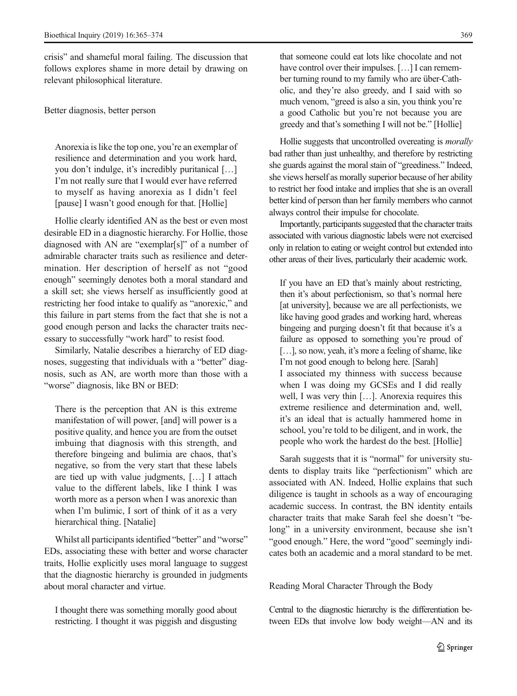crisis" and shameful moral failing. The discussion that follows explores shame in more detail by drawing on relevant philosophical literature.

## Better diagnosis, better person

Anorexia is like the top one, you're an exemplar of resilience and determination and you work hard, you don't indulge, it's incredibly puritanical […] I'm not really sure that I would ever have referred to myself as having anorexia as I didn't feel [pause] I wasn't good enough for that. [Hollie]

Hollie clearly identified AN as the best or even most desirable ED in a diagnostic hierarchy. For Hollie, those diagnosed with AN are "exemplar[s]" of a number of admirable character traits such as resilience and determination. Her description of herself as not "good enough" seemingly denotes both a moral standard and a skill set; she views herself as insufficiently good at restricting her food intake to qualify as "anorexic," and this failure in part stems from the fact that she is not a good enough person and lacks the character traits necessary to successfully "work hard" to resist food.

Similarly, Natalie describes a hierarchy of ED diagnoses, suggesting that individuals with a "better" diagnosis, such as AN, are worth more than those with a "worse" diagnosis, like BN or BED:

There is the perception that AN is this extreme manifestation of will power, [and] will power is a positive quality, and hence you are from the outset imbuing that diagnosis with this strength, and therefore bingeing and bulimia are chaos, that's negative, so from the very start that these labels are tied up with value judgments, […] I attach value to the different labels, like I think I was worth more as a person when I was anorexic than when I'm bulimic, I sort of think of it as a very hierarchical thing. [Natalie]

Whilst all participants identified "better" and "worse" EDs, associating these with better and worse character traits, Hollie explicitly uses moral language to suggest that the diagnostic hierarchy is grounded in judgments about moral character and virtue.

I thought there was something morally good about restricting. I thought it was piggish and disgusting that someone could eat lots like chocolate and not have control over their impulses. [...] I can remember turning round to my family who are über-Catholic, and they're also greedy, and I said with so much venom, "greed is also a sin, you think you're a good Catholic but you're not because you are greedy and that's something I will not be." [Hollie]

Hollie suggests that uncontrolled overeating is morally bad rather than just unhealthy, and therefore by restricting she guards against the moral stain of "greediness." Indeed, she views herself as morally superior because of her ability to restrict her food intake and implies that she is an overall better kind of person than her family members who cannot always control their impulse for chocolate.

Importantly, participants suggested that the character traits associated with various diagnostic labels were not exercised only in relation to eating or weight control but extended into other areas of their lives, particularly their academic work.

If you have an ED that's mainly about restricting, then it's about perfectionism, so that's normal here [at university], because we are all perfectionists, we like having good grades and working hard, whereas bingeing and purging doesn't fit that because it's a failure as opposed to something you're proud of [...], so now, yeah, it's more a feeling of shame, like I'm not good enough to belong here. [Sarah] I associated my thinness with success because when I was doing my GCSEs and I did really well, I was very thin […]. Anorexia requires this extreme resilience and determination and, well, it's an ideal that is actually hammered home in school, you're told to be diligent, and in work, the people who work the hardest do the best. [Hollie]

Sarah suggests that it is "normal" for university students to display traits like "perfectionism" which are associated with AN. Indeed, Hollie explains that such diligence is taught in schools as a way of encouraging academic success. In contrast, the BN identity entails character traits that make Sarah feel she doesn't "belong" in a university environment, because she isn't "good enough." Here, the word "good" seemingly indicates both an academic and a moral standard to be met.

### Reading Moral Character Through the Body

Central to the diagnostic hierarchy is the differentiation between EDs that involve low body weight—AN and its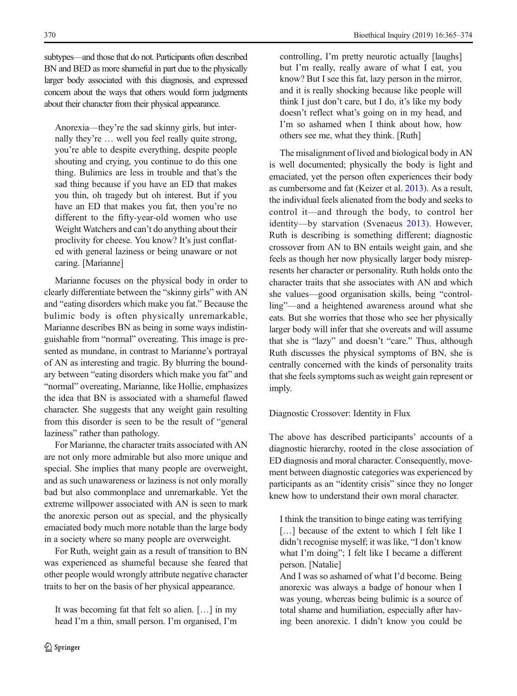subtypes—and those that do not. Participants often described BN and BED as more shameful in part due to the physically larger body associated with this diagnosis, and expressed concern about the ways that others would form judgments about their character from their physical appearance.

Anorexia—they're the sad skinny girls, but internally they're … well you feel really quite strong, you're able to despite everything, despite people shouting and crying, you continue to do this one thing. Bulimics are less in trouble and that's the sad thing because if you have an ED that makes you thin, oh tragedy but oh interest. But if you have an ED that makes you fat, then you're no different to the fifty-year-old women who use Weight Watchers and can't do anything about their proclivity for cheese. You know? It's just conflated with general laziness or being unaware or not caring. [Marianne]

Marianne focuses on the physical body in order to clearly differentiate between the "skinny girls" with AN and "eating disorders which make you fat." Because the bulimic body is often physically unremarkable, Marianne describes BN as being in some ways indistinguishable from "normal" overeating. This image is presented as mundane, in contrast to Marianne's portrayal of AN as interesting and tragic. By blurring the boundary between "eating disorders which make you fat" and "normal" overeating, Marianne, like Hollie, emphasizes the idea that BN is associated with a shameful flawed character. She suggests that any weight gain resulting from this disorder is seen to be the result of "general laziness" rather than pathology.

For Marianne, the character traits associated with AN are not only more admirable but also more unique and special. She implies that many people are overweight, and as such unawareness or laziness is not only morally bad but also commonplace and unremarkable. Yet the extreme willpower associated with AN is seen to mark the anorexic person out as special, and the physically emaciated body much more notable than the large body in a society where so many people are overweight.

For Ruth, weight gain as a result of transition to BN was experienced as shameful because she feared that other people would wrongly attribute negative character traits to her on the basis of her physical appearance.

It was becoming fat that felt so alien. […] in my head I'm a thin, small person. I'm organised, I'm controlling, I'm pretty neurotic actually [laughs] but I'm really, really aware of what I eat, you know? But I see this fat, lazy person in the mirror, and it is really shocking because like people will think I just don't care, but I do, it's like my body doesn't reflect what's going on in my head, and I'm so ashamed when I think about how, how others see me, what they think. [Ruth]

The misalignment of lived and biological body in AN is well documented; physically the body is light and emaciated, yet the person often experiences their body as cumbersome and fat (Keizer et al. [2013](#page-8-0)). As a result, the individual feels alienated from the body and seeks to control it—and through the body, to control her identity—by starvation (Svenaeus [2013\)](#page-9-0). However, Ruth is describing is something different; diagnostic crossover from AN to BN entails weight gain, and she feels as though her now physically larger body misrepresents her character or personality. Ruth holds onto the character traits that she associates with AN and which she values—good organisation skills, being "controlling"—and a heightened awareness around what she eats. But she worries that those who see her physically larger body will infer that she overeats and will assume that she is "lazy" and doesn't "care." Thus, although Ruth discusses the physical symptoms of BN, she is centrally concerned with the kinds of personality traits that she feels symptoms such as weight gain represent or imply.

## Diagnostic Crossover: Identity in Flux

The above has described participants' accounts of a diagnostic hierarchy, rooted in the close association of ED diagnosis and moral character. Consequently, movement between diagnostic categories was experienced by participants as an "identity crisis" since they no longer knew how to understand their own moral character.

I think the transition to binge eating was terrifying [...] because of the extent to which I felt like I didn't recognise myself; it was like, "I don't know what I'm doing"; I felt like I became a different person. [Natalie]

And I was so ashamed of what I'd become. Being anorexic was always a badge of honour when I was young, whereas being bulimic is a source of total shame and humiliation, especially after having been anorexic. I didn't know you could be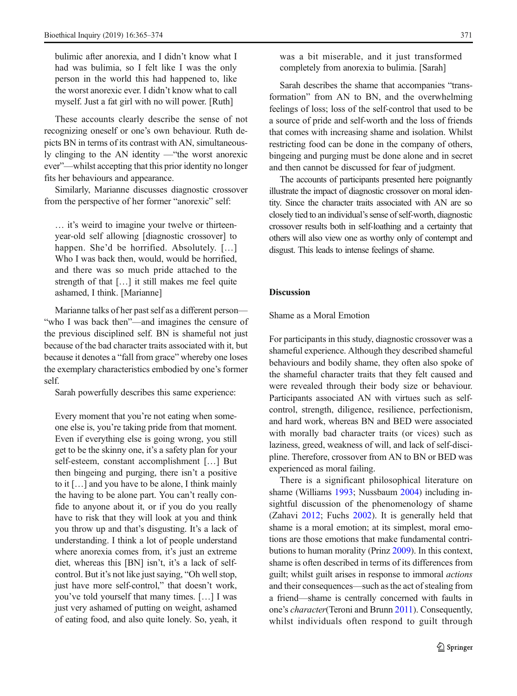bulimic after anorexia, and I didn't know what I had was bulimia, so I felt like I was the only person in the world this had happened to, like the worst anorexic ever. I didn't know what to call myself. Just a fat girl with no will power. [Ruth]

These accounts clearly describe the sense of not recognizing oneself or one's own behaviour. Ruth depicts BN in terms of its contrast with AN, simultaneously clinging to the AN identity —"the worst anorexic ever"—whilst accepting that this prior identity no longer fits her behaviours and appearance.

Similarly, Marianne discusses diagnostic crossover from the perspective of her former "anorexic" self:

… it's weird to imagine your twelve or thirteenyear-old self allowing [diagnostic crossover] to happen. She'd be horrified. Absolutely. [...] Who I was back then, would, would be horrified, and there was so much pride attached to the strength of that […] it still makes me feel quite ashamed, I think. [Marianne]

Marianne talks of her past self as a different person— "who I was back then"—and imagines the censure of the previous disciplined self. BN is shameful not just because of the bad character traits associated with it, but because it denotes a "fall from grace" whereby one loses the exemplary characteristics embodied by one's former self.

Sarah powerfully describes this same experience:

Every moment that you're not eating when someone else is, you're taking pride from that moment. Even if everything else is going wrong, you still get to be the skinny one, it's a safety plan for your self-esteem, constant accomplishment […] But then bingeing and purging, there isn't a positive to it […] and you have to be alone, I think mainly the having to be alone part. You can't really confide to anyone about it, or if you do you really have to risk that they will look at you and think you throw up and that's disgusting. It's a lack of understanding. I think a lot of people understand where anorexia comes from, it's just an extreme diet, whereas this [BN] isn't, it's a lack of selfcontrol. But it's not like just saying, "Oh well stop, just have more self-control," that doesn't work, you've told yourself that many times. […] I was just very ashamed of putting on weight, ashamed of eating food, and also quite lonely. So, yeah, it was a bit miserable, and it just transformed completely from anorexia to bulimia. [Sarah]

Sarah describes the shame that accompanies "transformation" from AN to BN, and the overwhelming feelings of loss; loss of the self-control that used to be a source of pride and self-worth and the loss of friends that comes with increasing shame and isolation. Whilst restricting food can be done in the company of others, bingeing and purging must be done alone and in secret and then cannot be discussed for fear of judgment.

The accounts of participants presented here poignantly illustrate the impact of diagnostic crossover on moral identity. Since the character traits associated with AN are so closely tied to an individual's sense of self-worth, diagnostic crossover results both in self-loathing and a certainty that others will also view one as worthy only of contempt and disgust. This leads to intense feelings of shame.

# **Discussion**

## Shame as a Moral Emotion

For participants in this study, diagnostic crossover was a shameful experience. Although they described shameful behaviours and bodily shame, they often also spoke of the shameful character traits that they felt caused and were revealed through their body size or behaviour. Participants associated AN with virtues such as selfcontrol, strength, diligence, resilience, perfectionism, and hard work, whereas BN and BED were associated with morally bad character traits (or vices) such as laziness, greed, weakness of will, and lack of self-discipline. Therefore, crossover from AN to BN or BED was experienced as moral failing.

There is a significant philosophical literature on shame (Williams [1993;](#page-9-0) Nussbaum [2004\)](#page-9-0) including insightful discussion of the phenomenology of shame (Zahavi [2012](#page-9-0); Fuchs [2002\)](#page-8-0). It is generally held that shame is a moral emotion; at its simplest, moral emotions are those emotions that make fundamental contributions to human morality (Prinz [2009\)](#page-9-0). In this context, shame is often described in terms of its differences from guilt; whilst guilt arises in response to immoral actions and their consequences—such as the act of stealing from a friend—shame is centrally concerned with faults in one's character(Teroni and Brunn [2011](#page-9-0)). Consequently, whilst individuals often respond to guilt through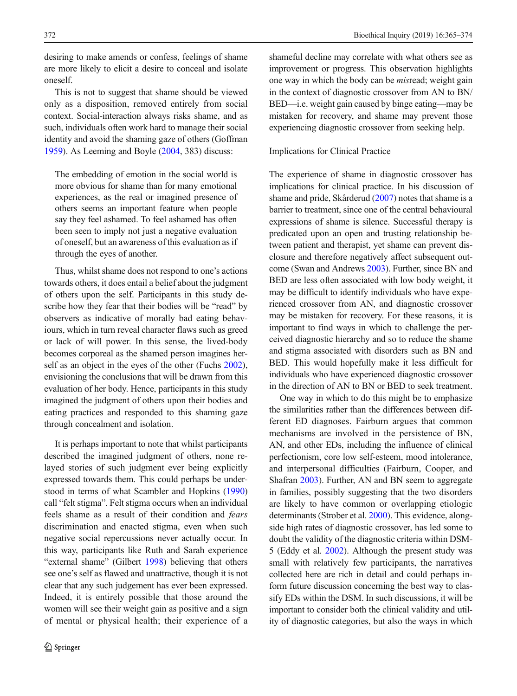desiring to make amends or confess, feelings of shame are more likely to elicit a desire to conceal and isolate oneself.

This is not to suggest that shame should be viewed only as a disposition, removed entirely from social context. Social-interaction always risks shame, and as such, individuals often work hard to manage their social identity and avoid the shaming gaze of others (Goffman [1959](#page-8-0)). As Leeming and Boyle [\(2004,](#page-9-0) 383) discuss:

The embedding of emotion in the social world is more obvious for shame than for many emotional experiences, as the real or imagined presence of others seems an important feature when people say they feel ashamed. To feel ashamed has often been seen to imply not just a negative evaluation of oneself, but an awareness of this evaluation as if through the eyes of another.

Thus, whilst shame does not respond to one's actions towards others, it does entail a belief about the judgment of others upon the self. Participants in this study describe how they fear that their bodies will be "read" by observers as indicative of morally bad eating behaviours, which in turn reveal character flaws such as greed or lack of will power. In this sense, the lived-body becomes corporeal as the shamed person imagines herself as an object in the eyes of the other (Fuchs [2002\)](#page-8-0), envisioning the conclusions that will be drawn from this evaluation of her body. Hence, participants in this study imagined the judgment of others upon their bodies and eating practices and responded to this shaming gaze through concealment and isolation.

It is perhaps important to note that whilst participants described the imagined judgment of others, none relayed stories of such judgment ever being explicitly expressed towards them. This could perhaps be understood in terms of what Scambler and Hopkins [\(1990\)](#page-9-0) call "felt stigma". Felt stigma occurs when an individual feels shame as a result of their condition and fears discrimination and enacted stigma, even when such negative social repercussions never actually occur. In this way, participants like Ruth and Sarah experience "external shame" (Gilbert [1998](#page-8-0)) believing that others see one's self as flawed and unattractive, though it is not clear that any such judgement has ever been expressed. Indeed, it is entirely possible that those around the women will see their weight gain as positive and a sign of mental or physical health; their experience of a shameful decline may correlate with what others see as improvement or progress. This observation highlights one way in which the body can be misread; weight gain in the context of diagnostic crossover from AN to BN/ BED—i.e. weight gain caused by binge eating—may be mistaken for recovery, and shame may prevent those experiencing diagnostic crossover from seeking help.

#### Implications for Clinical Practice

The experience of shame in diagnostic crossover has implications for clinical practice. In his discussion of shame and pride, Skårderud [\(2007\)](#page-9-0) notes that shame is a barrier to treatment, since one of the central behavioural expressions of shame is silence. Successful therapy is predicated upon an open and trusting relationship between patient and therapist, yet shame can prevent disclosure and therefore negatively affect subsequent outcome (Swan and Andrews [2003](#page-9-0)). Further, since BN and BED are less often associated with low body weight, it may be difficult to identify individuals who have experienced crossover from AN, and diagnostic crossover may be mistaken for recovery. For these reasons, it is important to find ways in which to challenge the perceived diagnostic hierarchy and so to reduce the shame and stigma associated with disorders such as BN and BED. This would hopefully make it less difficult for individuals who have experienced diagnostic crossover in the direction of AN to BN or BED to seek treatment.

One way in which to do this might be to emphasize the similarities rather than the differences between different ED diagnoses. Fairburn argues that common mechanisms are involved in the persistence of BN, AN, and other EDs, including the influence of clinical perfectionism, core low self-esteem, mood intolerance, and interpersonal difficulties (Fairburn, Cooper, and Shafran [2003](#page-8-0)). Further, AN and BN seem to aggregate in families, possibly suggesting that the two disorders are likely to have common or overlapping etiologic determinants (Strober et al. [2000\)](#page-9-0). This evidence, alongside high rates of diagnostic crossover, has led some to doubt the validity of the diagnostic criteria within DSM-5 (Eddy et al. [2002\)](#page-8-0). Although the present study was small with relatively few participants, the narratives collected here are rich in detail and could perhaps inform future discussion concerning the best way to classify EDs within the DSM. In such discussions, it will be important to consider both the clinical validity and utility of diagnostic categories, but also the ways in which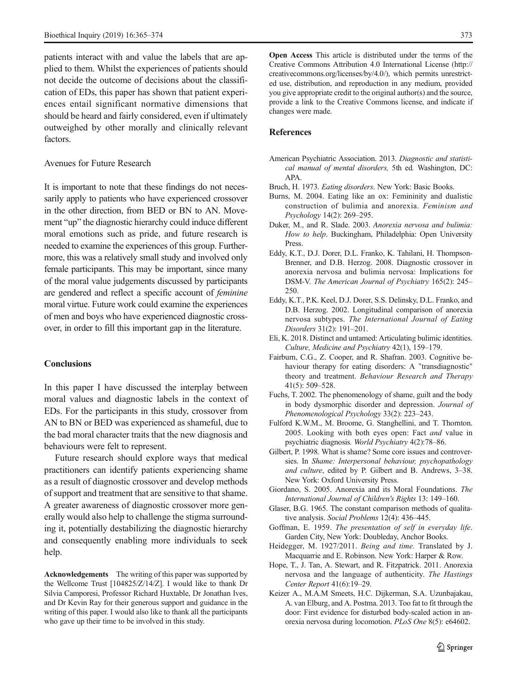<span id="page-8-0"></span>patients interact with and value the labels that are applied to them. Whilst the experiences of patients should not decide the outcome of decisions about the classification of EDs, this paper has shown that patient experiences entail significant normative dimensions that should be heard and fairly considered, even if ultimately outweighed by other morally and clinically relevant factors.

## Avenues for Future Research

It is important to note that these findings do not necessarily apply to patients who have experienced crossover in the other direction, from BED or BN to AN. Movement "up" the diagnostic hierarchy could induce different moral emotions such as pride, and future research is needed to examine the experiences of this group. Furthermore, this was a relatively small study and involved only female participants. This may be important, since many of the moral value judgements discussed by participants are gendered and reflect a specific account of feminine moral virtue. Future work could examine the experiences of men and boys who have experienced diagnostic crossover, in order to fill this important gap in the literature.

## **Conclusions**

In this paper I have discussed the interplay between moral values and diagnostic labels in the context of EDs. For the participants in this study, crossover from AN to BN or BED was experienced as shameful, due to the bad moral character traits that the new diagnosis and behaviours were felt to represent.

Future research should explore ways that medical practitioners can identify patients experiencing shame as a result of diagnostic crossover and develop methods of support and treatment that are sensitive to that shame. A greater awareness of diagnostic crossover more generally would also help to challenge the stigma surrounding it, potentially destabilizing the diagnostic hierarchy and consequently enabling more individuals to seek help.

Acknowledgements The writing of this paper was supported by the Wellcome Trust [104825/Z/14/Z]. I would like to thank Dr Silvia Camporesi, Professor Richard Huxtable, Dr Jonathan Ives, and Dr Kevin Ray for their generous support and guidance in the writing of this paper. I would also like to thank all the participants who gave up their time to be involved in this study.

Open Access This article is distributed under the terms of the Creative Commons Attribution 4.0 International License (http:// creativecommons.org/licenses/by/4.0/), which permits unrestricted use, distribution, and reproduction in any medium, provided you give appropriate credit to the original author(s) and the source, provide a link to the Creative Commons license, and indicate if changes were made.

## References

- American Psychiatric Association. 2013. Diagnostic and statistical manual of mental disorders, 5th ed. Washington, DC: APA.
- Bruch, H. 1973. Eating disorders. New York: Basic Books.
- Burns, M. 2004. Eating like an ox: Femininity and dualistic construction of bulimia and anorexia. Feminism and Psychology 14(2): 269–295.
- Duker, M., and R. Slade. 2003. Anorexia nervosa and bulimia: How to help. Buckingham, Philadelphia: Open University Press.
- Eddy, K.T., D.J. Dorer, D.L. Franko, K. Tahilani, H. Thompson-Brenner, and D.B. Herzog. 2008. Diagnostic crossover in anorexia nervosa and bulimia nervosa: Implications for DSM-V. The American Journal of Psychiatry 165(2): 245– 250.
- Eddy, K.T., P.K. Keel, D.J. Dorer, S.S. Delinsky, D.L. Franko, and D.B. Herzog. 2002. Longitudinal comparison of anorexia nervosa subtypes. The International Journal of Eating Disorders 31(2): 191–201.
- Eli, K. 2018. Distinct and untamed: Articulating bulimic identities. Culture, Medicine and Psychiatry 42(1), 159–179.
- Fairburn, C.G., Z. Cooper, and R. Shafran. 2003. Cognitive behaviour therapy for eating disorders: A "transdiagnostic" theory and treatment. Behaviour Research and Therapy 41(5): 509–528.
- Fuchs, T. 2002. The phenomenology of shame, guilt and the body in body dysmorphic disorder and depression. Journal of Phenomenological Psychology 33(2): 223–243.
- Fulford K.W.M., M. Broome, G. Stanghellini, and T. Thornton. 2005. Looking with both eyes open: Fact and value in psychiatric diagnosis. World Psychiatry 4(2):78–86.
- Gilbert, P. 1998. What is shame? Some core issues and controversies. In Shame: Interpersonal behaviour, psychopathology and culture, edited by P. Gilbert and B. Andrews, 3–38. New York: Oxford University Press.
- Giordano, S. 2005. Anorexia and its Moral Foundations. The International Journal of Children's Rights 13: 149–160.
- Glaser, B.G. 1965. The constant comparison methods of qualitative analysis. Social Problems 12(4): 436–445.
- Goffman, E. 1959. The presentation of self in everyday life. Garden City, New York: Doubleday, Anchor Books.
- Heidegger, M. 1927/2011. Being and time. Translated by J. Macquarrie and E. Robinson. New York: Harper & Row.
- Hope, T., J. Tan, A. Stewart, and R. Fitzpatrick. 2011. Anorexia nervosa and the language of authenticity. The Hastings Center Report 41(6):19–29.
- Keizer A., M.A.M Smeets, H.C. Dijkerman, S.A. Uzunbajakau, A. van Elburg, and A. Postma. 2013. Too fat to fit through the door: First evidence for disturbed body-scaled action in anorexia nervosa during locomotion. PLoS One 8(5): e64602.